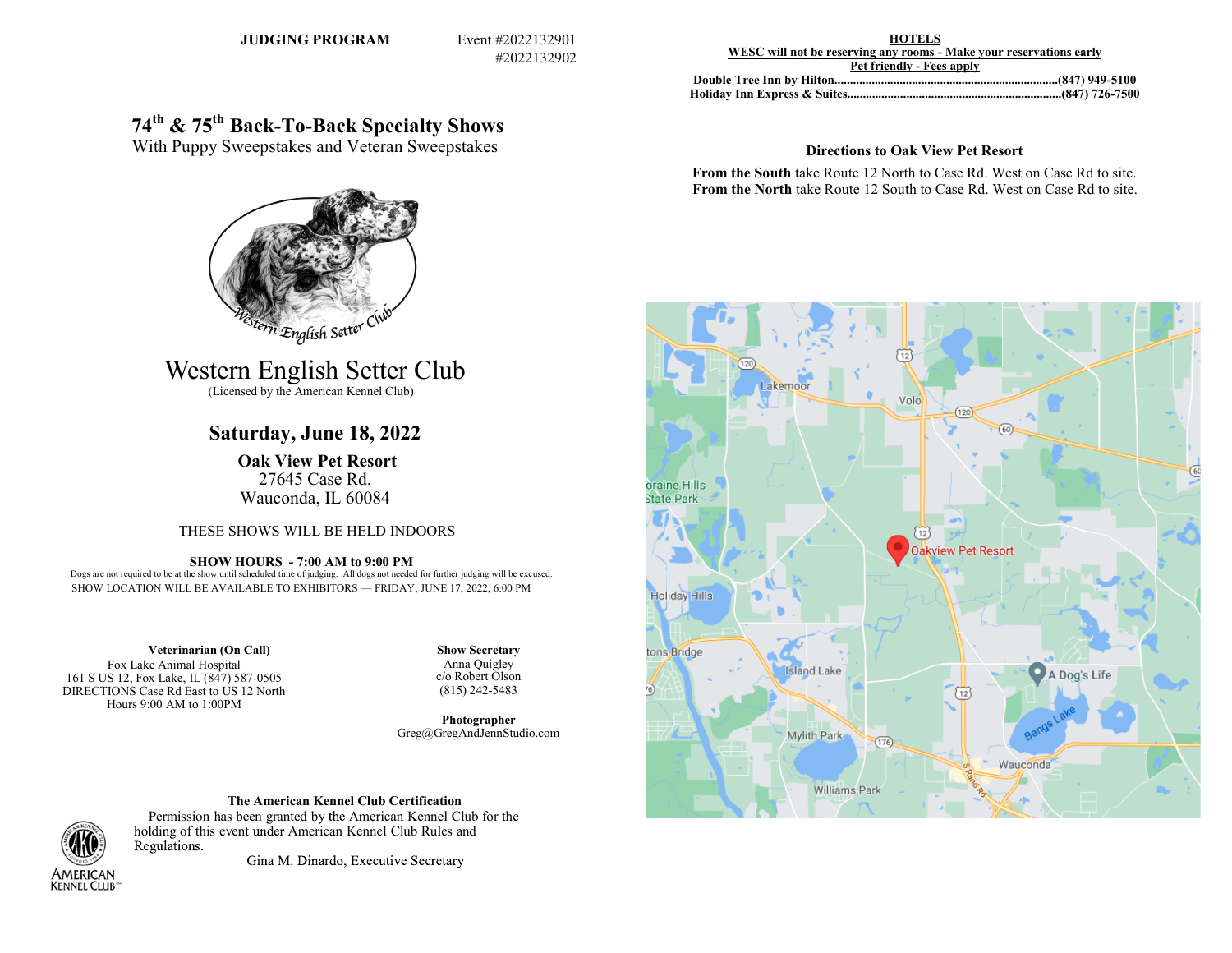**JUDGING PROGRAM Event #2022132901** 

#2022132902

**HOTELS WESC will not be reserving any rooms - Make your reservations early Pet friendly - Fees apply**

**Double Tree Inn by Hilton........................................................................(847) 949-5100 Holiday Inn Express & Suites.....................................................................(847) 726-7500**

## **74th & 75th Back-To-Back Specialty Shows**

With Puppy Sweepstakes and Veteran Sweepstakes

# 2 English Setter Club

## Western English Setter Club

(Licensed by the American Kennel Club)

## **Saturday, June 18, 2022**

**Oak View Pet Resort** 27645 Case Rd. Wauconda, IL 60084

## THESE SHOWS WILL BE HELD INDOORS

**SHOW HOURS - 7:00 AM to 9:00 PM** Dogs are not required to be at the show until scheduled time of judging. All dogs not needed for further judging will be excused. SHOW LOCATION WILL BE AVAILABLE TO EXHIBITORS — FRIDAY, JUNE 17, 2022, 6:00 PM

**Veterinarian (On Call)** Fox Lake Animal Hospital 161 S US 12, Fox Lake, IL (847) 587-0505 DIRECTIONS Case Rd East to US 12 North Hours 9:00 AM to 1:00PM

**Show Secretary** Anna Quigley c/o Robert Olson (815) 242-5483

**Photographer** Greg@GregAndJennStudio.com

## **The American Kennel Club Certification**



Permission has been granted by the American Kennel Club for the holding of this event under American Kennel Club Rules and Regulations.

Gina M. Dinardo, Executive Secretary

## **Directions to Oak View Pet Resort**

**From the South** take Route 12 North to Case Rd. West on Case Rd to site. **From the North** take Route 12 South to Case Rd. West on Case Rd to site.